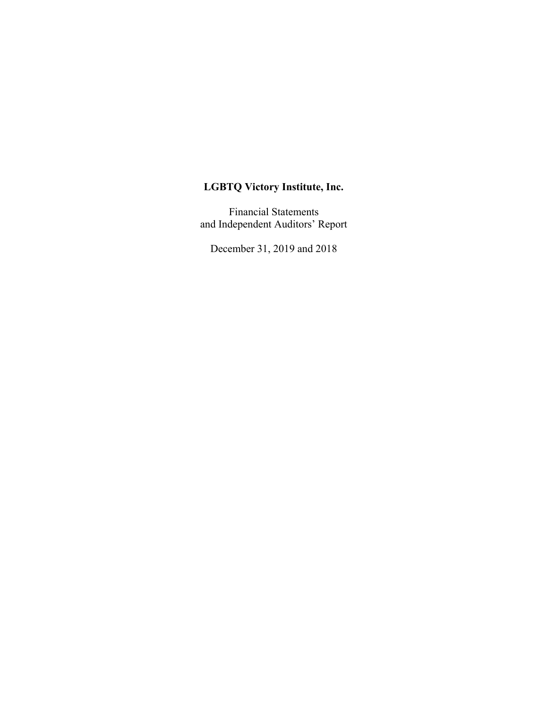Financial Statements and Independent Auditors' Report

December 31, 2019 and 2018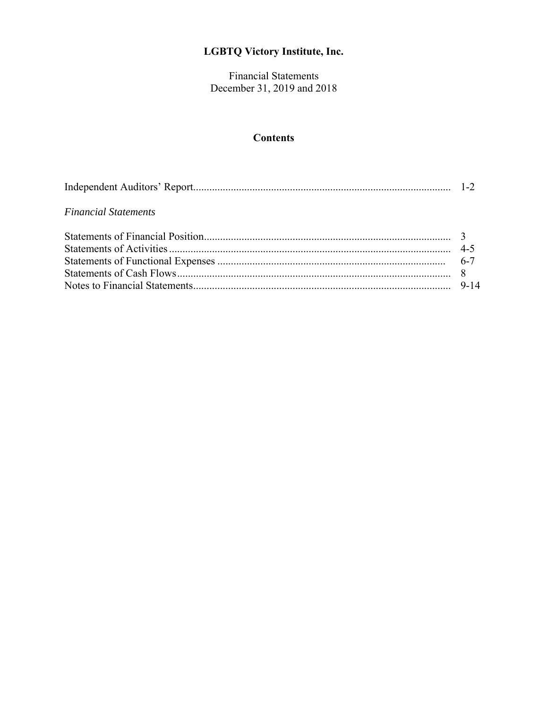Financial Statements December 31, 2019 and 2018

# **Contents**

| <i>Financial Statements</i> |  |
|-----------------------------|--|
|                             |  |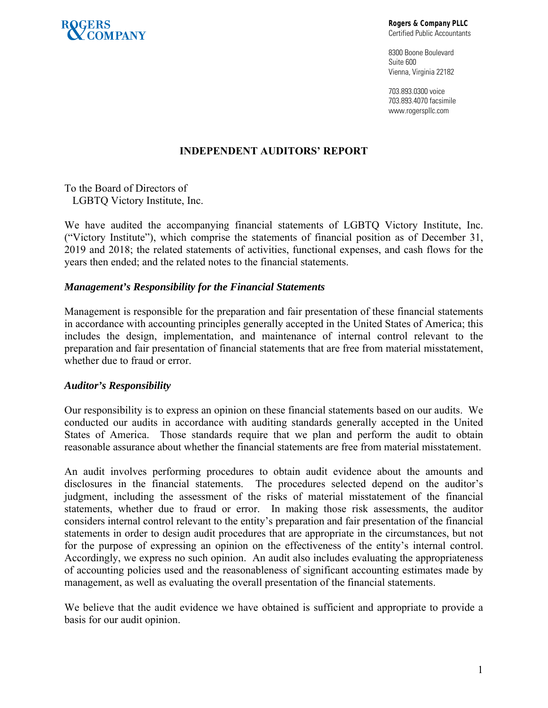

**Rogers & Company PLLC**  Certified Public Accountants

8300 Boone Boulevard Suite 600 Vienna, Virginia 22182

703.893.0300 voice 703.893.4070 facsimile www.rogerspllc.com

# **INDEPENDENT AUDITORS' REPORT**

To the Board of Directors of LGBTQ Victory Institute, Inc.

We have audited the accompanying financial statements of LGBTQ Victory Institute, Inc. ("Victory Institute"), which comprise the statements of financial position as of December 31, 2019 and 2018; the related statements of activities, functional expenses, and cash flows for the years then ended; and the related notes to the financial statements.

#### *Management's Responsibility for the Financial Statements*

Management is responsible for the preparation and fair presentation of these financial statements in accordance with accounting principles generally accepted in the United States of America; this includes the design, implementation, and maintenance of internal control relevant to the preparation and fair presentation of financial statements that are free from material misstatement, whether due to fraud or error.

# *Auditor's Responsibility*

Our responsibility is to express an opinion on these financial statements based on our audits. We conducted our audits in accordance with auditing standards generally accepted in the United States of America. Those standards require that we plan and perform the audit to obtain reasonable assurance about whether the financial statements are free from material misstatement.

An audit involves performing procedures to obtain audit evidence about the amounts and disclosures in the financial statements. The procedures selected depend on the auditor's judgment, including the assessment of the risks of material misstatement of the financial statements, whether due to fraud or error. In making those risk assessments, the auditor considers internal control relevant to the entity's preparation and fair presentation of the financial statements in order to design audit procedures that are appropriate in the circumstances, but not for the purpose of expressing an opinion on the effectiveness of the entity's internal control. Accordingly, we express no such opinion. An audit also includes evaluating the appropriateness of accounting policies used and the reasonableness of significant accounting estimates made by management, as well as evaluating the overall presentation of the financial statements.

We believe that the audit evidence we have obtained is sufficient and appropriate to provide a basis for our audit opinion.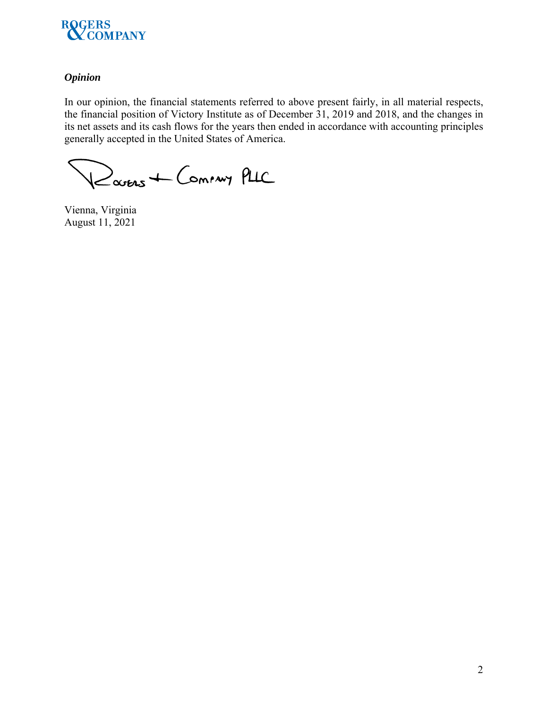

*Opinion* 

In our opinion, the financial statements referred to above present fairly, in all material respects, the financial position of Victory Institute as of December 31, 2019 and 2018, and the changes in its net assets and its cash flows for the years then ended in accordance with accounting principles generally accepted in the United States of America.

Ravers + Commy PLIC

Vienna, Virginia August 11, 2021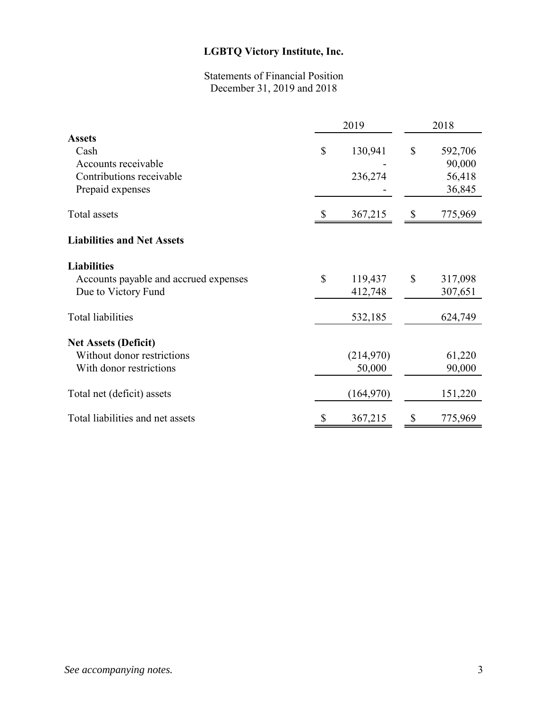# Statements of Financial Position December 31, 2019 and 2018

|                                       |                           | 2019      |                           | 2018    |
|---------------------------------------|---------------------------|-----------|---------------------------|---------|
| <b>Assets</b>                         |                           |           |                           |         |
| Cash                                  | \$                        | 130,941   | \$                        | 592,706 |
| Accounts receivable                   |                           |           |                           | 90,000  |
| Contributions receivable              |                           | 236,274   |                           | 56,418  |
| Prepaid expenses                      |                           |           |                           | 36,845  |
| Total assets                          | <sup>S</sup>              | 367,215   | $\boldsymbol{\mathsf{S}}$ | 775,969 |
| <b>Liabilities and Net Assets</b>     |                           |           |                           |         |
| <b>Liabilities</b>                    |                           |           |                           |         |
| Accounts payable and accrued expenses | \$                        | 119,437   | $\mathcal{S}$             | 317,098 |
| Due to Victory Fund                   |                           | 412,748   |                           | 307,651 |
| <b>Total liabilities</b>              |                           | 532,185   |                           | 624,749 |
| <b>Net Assets (Deficit)</b>           |                           |           |                           |         |
| Without donor restrictions            |                           | (214,970) |                           | 61,220  |
| With donor restrictions               |                           | 50,000    |                           | 90,000  |
| Total net (deficit) assets            |                           | (164,970) |                           | 151,220 |
| Total liabilities and net assets      | $\boldsymbol{\mathsf{S}}$ | 367,215   | \$                        | 775,969 |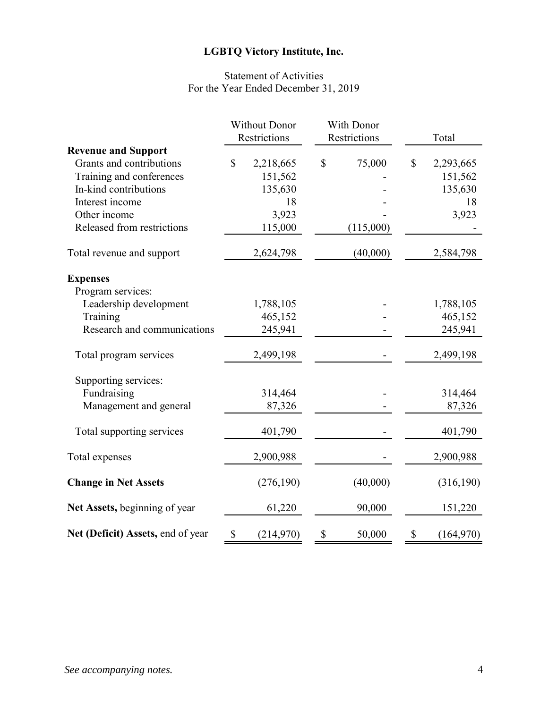# Statement of Activities For the Year Ended December 31, 2019

|                                   | <b>Without Donor</b> |              | With Donor   |              |            |
|-----------------------------------|----------------------|--------------|--------------|--------------|------------|
|                                   |                      | Restrictions | Restrictions |              | Total      |
| <b>Revenue and Support</b>        |                      |              |              |              |            |
| Grants and contributions          | $\mathbb{S}$         | 2,218,665    | \$<br>75,000 | $\mathbb{S}$ | 2,293,665  |
| Training and conferences          |                      | 151,562      |              |              | 151,562    |
| In-kind contributions             |                      | 135,630      |              |              | 135,630    |
| Interest income                   |                      | 18           |              |              | 18         |
| Other income                      |                      | 3,923        |              |              | 3,923      |
| Released from restrictions        |                      | 115,000      | (115,000)    |              |            |
| Total revenue and support         |                      | 2,624,798    | (40,000)     |              | 2,584,798  |
| <b>Expenses</b>                   |                      |              |              |              |            |
| Program services:                 |                      |              |              |              |            |
| Leadership development            |                      | 1,788,105    |              |              | 1,788,105  |
| Training                          |                      | 465,152      |              |              | 465,152    |
| Research and communications       |                      | 245,941      |              |              | 245,941    |
| Total program services            |                      | 2,499,198    |              |              | 2,499,198  |
| Supporting services:              |                      |              |              |              |            |
| Fundraising                       |                      | 314,464      |              |              | 314,464    |
| Management and general            |                      | 87,326       |              |              | 87,326     |
| Total supporting services         |                      | 401,790      |              |              | 401,790    |
| Total expenses                    |                      | 2,900,988    |              |              | 2,900,988  |
| <b>Change in Net Assets</b>       |                      | (276, 190)   | (40,000)     |              | (316, 190) |
| Net Assets, beginning of year     |                      | 61,220       | 90,000       |              | 151,220    |
| Net (Deficit) Assets, end of year | \$                   | (214,970)    | \$<br>50,000 | \$           | (164,970)  |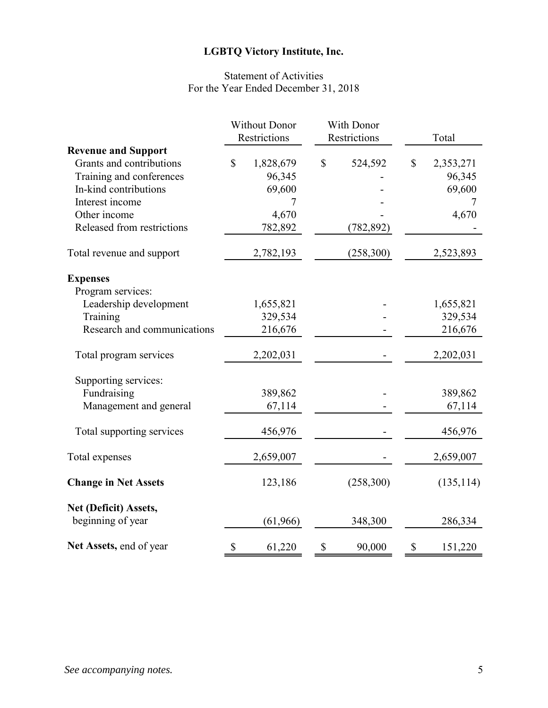# Statement of Activities For the Year Ended December 31, 2018

|                                            | <b>Without Donor</b><br>With Donor |           |              |    |            |
|--------------------------------------------|------------------------------------|-----------|--------------|----|------------|
|                                            | <b>Restrictions</b>                |           | Restrictions |    | Total      |
| <b>Revenue and Support</b>                 |                                    |           |              |    |            |
| Grants and contributions                   | \$<br>1,828,679                    | \$        | 524,592      | \$ | 2,353,271  |
| Training and conferences                   | 96,345                             |           |              |    | 96,345     |
| In-kind contributions                      | 69,600                             |           |              |    | 69,600     |
| Interest income                            | 7                                  |           |              |    |            |
| Other income                               | 4,670                              |           |              |    | 4,670      |
| Released from restrictions                 | 782,892                            |           | (782, 892)   |    |            |
| Total revenue and support                  | 2,782,193                          | (258,300) |              |    | 2,523,893  |
| <b>Expenses</b>                            |                                    |           |              |    |            |
| Program services:                          |                                    |           |              |    |            |
| Leadership development                     | 1,655,821                          |           |              |    | 1,655,821  |
| Training                                   | 329,534                            |           |              |    | 329,534    |
| Research and communications                | 216,676                            |           |              |    | 216,676    |
| Total program services                     | 2,202,031                          |           |              |    | 2,202,031  |
| Supporting services:                       |                                    |           |              |    |            |
| Fundraising                                | 389,862                            |           |              |    | 389,862    |
| Management and general                     | 67,114                             |           |              |    | 67,114     |
| Total supporting services                  | 456,976                            |           |              |    | 456,976    |
| Total expenses                             | 2,659,007                          |           |              |    | 2,659,007  |
| <b>Change in Net Assets</b>                | 123,186                            |           | (258,300)    |    | (135, 114) |
| Net (Deficit) Assets,<br>beginning of year | (61,966)                           |           | 348,300      |    | 286,334    |
| Net Assets, end of year                    | \$<br>61,220                       | \$        | 90,000       | \$ | 151,220    |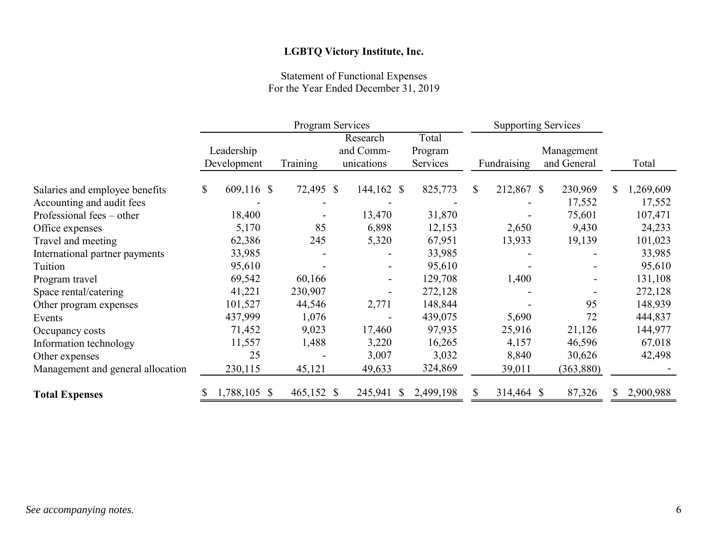# Statement of Functional Expenses For the Year Ended December 31, 2019

|                                   |                            |            | Program Services         | <b>Supporting Services</b> |                  |             |                 |
|-----------------------------------|----------------------------|------------|--------------------------|----------------------------|------------------|-------------|-----------------|
|                                   |                            |            | Research                 | Total                      |                  |             |                 |
|                                   | Leadership                 |            | and Comm-                | Program                    |                  | Management  |                 |
|                                   | Development                | Training   | unications               | Services                   | Fundraising      | and General | Total           |
| Salaries and employee benefits    | 609,116 \$<br>$\mathbb{S}$ | 72,495 \$  | 144,162 \$               | 825,773                    | 212,867 \$<br>S. | 230,969     | 1,269,609<br>S  |
| Accounting and audit fees         |                            |            |                          |                            |                  | 17,552      | 17,552          |
| Professional fees – other         | 18,400                     |            | 13,470                   | 31,870                     |                  | 75,601      | 107,471         |
| Office expenses                   | 5,170                      | 85         | 6,898                    | 12,153                     | 2,650            | 9,430       | 24,233          |
| Travel and meeting                | 62,386                     | 245        | 5,320                    | 67,951                     | 13,933           | 19,139      | 101,023         |
| International partner payments    | 33,985                     |            |                          | 33,985                     |                  |             | 33,985          |
| Tuition                           | 95,610                     |            |                          | 95,610                     |                  |             | 95,610          |
| Program travel                    | 69,542                     | 60,166     | $\overline{\phantom{a}}$ | 129,708                    | 1,400            |             | 131,108         |
| Space rental/catering             | 41,221                     | 230,907    |                          | 272,128                    |                  |             | 272,128         |
| Other program expenses            | 101,527                    | 44,546     | 2,771                    | 148,844                    |                  | 95          | 148,939         |
| Events                            | 437,999                    | 1,076      |                          | 439,075                    | 5,690            | 72          | 444,837         |
| Occupancy costs                   | 71,452                     | 9,023      | 17,460                   | 97,935                     | 25,916           | 21,126      | 144,977         |
| Information technology            | 11,557                     | 1,488      | 3,220                    | 16,265                     | 4,157            | 46,596      | 67,018          |
| Other expenses                    | 25                         |            | 3,007                    | 3,032                      | 8,840            | 30,626      | 42,498          |
| Management and general allocation | 230,115                    | 45,121     | 49,633                   | 324,869                    | 39,011           | (363, 880)  |                 |
| <b>Total Expenses</b>             | 1,788,105 \$               | 465,152 \$ | 245,941<br>-S            | 2,499,198                  | 314,464 \$<br>S. | 87,326      | 2,900,988<br>\$ |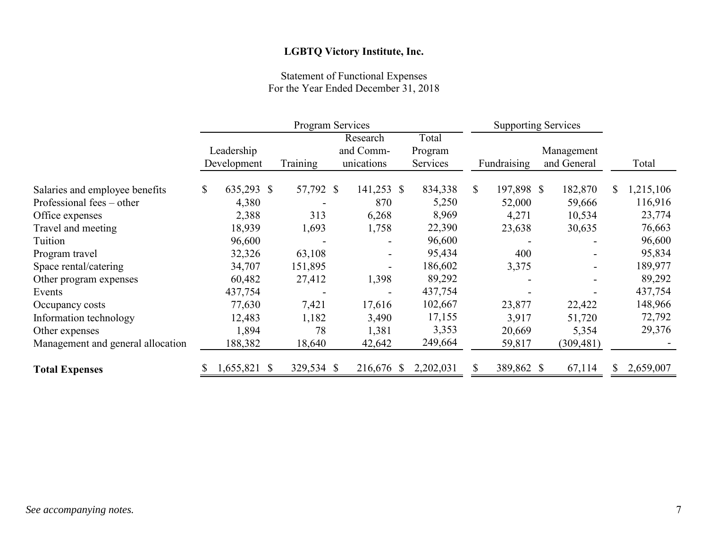# Statement of Functional Expenses For the Year Ended December 31, 2018

|                                   | <b>Program Services</b> |             |               |            |  |                          | <b>Supporting Services</b> |    |             |  |             |                 |
|-----------------------------------|-------------------------|-------------|---------------|------------|--|--------------------------|----------------------------|----|-------------|--|-------------|-----------------|
|                                   |                         |             |               |            |  | Research                 | Total                      |    |             |  |             |                 |
|                                   |                         | Leadership  |               |            |  | and Comm-                | Program                    |    |             |  | Management  |                 |
|                                   |                         | Development |               | Training   |  | unications               | Services                   |    | Fundraising |  | and General | Total           |
| Salaries and employee benefits    | $\mathbb{S}$            | 635,293 \$  |               | 57,792 \$  |  | 141,253 \$               | 834,338                    | \$ | 197,898 \$  |  | 182,870     | \$<br>1,215,106 |
| Professional fees – other         |                         | 4,380       |               |            |  | 870                      | 5,250                      |    | 52,000      |  | 59,666      | 116,916         |
| Office expenses                   |                         | 2,388       |               | 313        |  | 6,268                    | 8,969                      |    | 4,271       |  | 10,534      | 23,774          |
| Travel and meeting                |                         | 18,939      |               | 1,693      |  | 1,758                    | 22,390                     |    | 23,638      |  | 30,635      | 76,663          |
| Tuition                           |                         | 96,600      |               |            |  |                          | 96,600                     |    |             |  |             | 96,600          |
| Program travel                    |                         | 32,326      |               | 63,108     |  |                          | 95,434                     |    | 400         |  |             | 95,834          |
| Space rental/catering             |                         | 34,707      |               | 151,895    |  | $\overline{\phantom{0}}$ | 186,602                    |    | 3,375       |  |             | 189,977         |
| Other program expenses            |                         | 60,482      |               | 27,412     |  | 1,398                    | 89,292                     |    |             |  |             | 89,292          |
| Events                            |                         | 437,754     |               |            |  |                          | 437,754                    |    |             |  |             | 437,754         |
| Occupancy costs                   |                         | 77,630      |               | 7,421      |  | 17,616                   | 102,667                    |    | 23,877      |  | 22,422      | 148,966         |
| Information technology            |                         | 12,483      |               | 1,182      |  | 3,490                    | 17,155                     |    | 3,917       |  | 51,720      | 72,792          |
| Other expenses                    |                         | 1,894       |               | 78         |  | 1,381                    | 3,353                      |    | 20,669      |  | 5,354       | 29,376          |
| Management and general allocation |                         | 188,382     |               | 18,640     |  | 42,642                   | 249,664                    |    | 59,817      |  | (309, 481)  |                 |
| <b>Total Expenses</b>             |                         | 1,655,821   | $\mathcal{S}$ | 329,534 \$ |  | 216,676 \$               | 2,202,031                  |    | 389,862 \$  |  | 67,114      | \$<br>2,659,007 |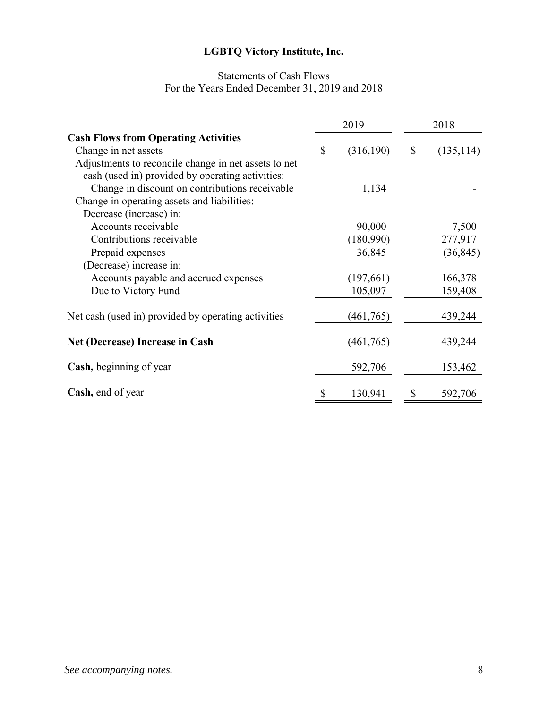# Statements of Cash Flows For the Years Ended December 31, 2019 and 2018

|                                                      |              | 2019      | 2018         |            |  |  |
|------------------------------------------------------|--------------|-----------|--------------|------------|--|--|
| <b>Cash Flows from Operating Activities</b>          |              |           |              |            |  |  |
| Change in net assets                                 | $\mathbb{S}$ | (316,190) | $\mathbb{S}$ | (135, 114) |  |  |
| Adjustments to reconcile change in net assets to net |              |           |              |            |  |  |
| cash (used in) provided by operating activities:     |              |           |              |            |  |  |
| Change in discount on contributions receivable       |              | 1,134     |              |            |  |  |
| Change in operating assets and liabilities:          |              |           |              |            |  |  |
| Decrease (increase) in:                              |              |           |              |            |  |  |
| Accounts receivable                                  |              | 90,000    |              | 7,500      |  |  |
| Contributions receivable                             |              | (180,990) |              | 277,917    |  |  |
| Prepaid expenses                                     |              | 36,845    |              | (36, 845)  |  |  |
| (Decrease) increase in:                              |              |           |              |            |  |  |
| Accounts payable and accrued expenses                |              | (197,661) |              | 166,378    |  |  |
| Due to Victory Fund                                  |              | 105,097   |              | 159,408    |  |  |
| Net cash (used in) provided by operating activities  |              | (461,765) |              | 439,244    |  |  |
| <b>Net (Decrease) Increase in Cash</b>               |              | (461,765) |              | 439,244    |  |  |
| Cash, beginning of year                              |              | 592,706   |              | 153,462    |  |  |
| Cash, end of year                                    | \$           | 130,941   | \$           | 592,706    |  |  |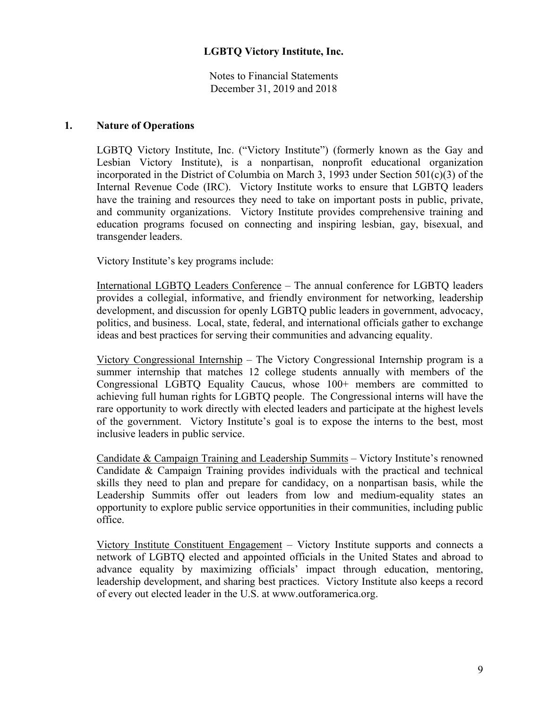Notes to Financial Statements December 31, 2019 and 2018

#### **1. Nature of Operations**

LGBTQ Victory Institute, Inc. ("Victory Institute") (formerly known as the Gay and Lesbian Victory Institute), is a nonpartisan, nonprofit educational organization incorporated in the District of Columbia on March 3, 1993 under Section 501(c)(3) of the Internal Revenue Code (IRC). Victory Institute works to ensure that LGBTQ leaders have the training and resources they need to take on important posts in public, private, and community organizations. Victory Institute provides comprehensive training and education programs focused on connecting and inspiring lesbian, gay, bisexual, and transgender leaders.

Victory Institute's key programs include:

International LGBTQ Leaders Conference – The annual conference for LGBTQ leaders provides a collegial, informative, and friendly environment for networking, leadership development, and discussion for openly LGBTQ public leaders in government, advocacy, politics, and business. Local, state, federal, and international officials gather to exchange ideas and best practices for serving their communities and advancing equality.

Victory Congressional Internship – The Victory Congressional Internship program is a summer internship that matches 12 college students annually with members of the Congressional LGBTQ Equality Caucus, whose 100+ members are committed to achieving full human rights for LGBTQ people. The Congressional interns will have the rare opportunity to work directly with elected leaders and participate at the highest levels of the government. Victory Institute's goal is to expose the interns to the best, most inclusive leaders in public service.

Candidate & Campaign Training and Leadership Summits – Victory Institute's renowned Candidate & Campaign Training provides individuals with the practical and technical skills they need to plan and prepare for candidacy, on a nonpartisan basis, while the Leadership Summits offer out leaders from low and medium-equality states an opportunity to explore public service opportunities in their communities, including public office.

Victory Institute Constituent Engagement – Victory Institute supports and connects a network of LGBTQ elected and appointed officials in the United States and abroad to advance equality by maximizing officials' impact through education, mentoring, leadership development, and sharing best practices. Victory Institute also keeps a record of every out elected leader in the U.S. at www.outforamerica.org.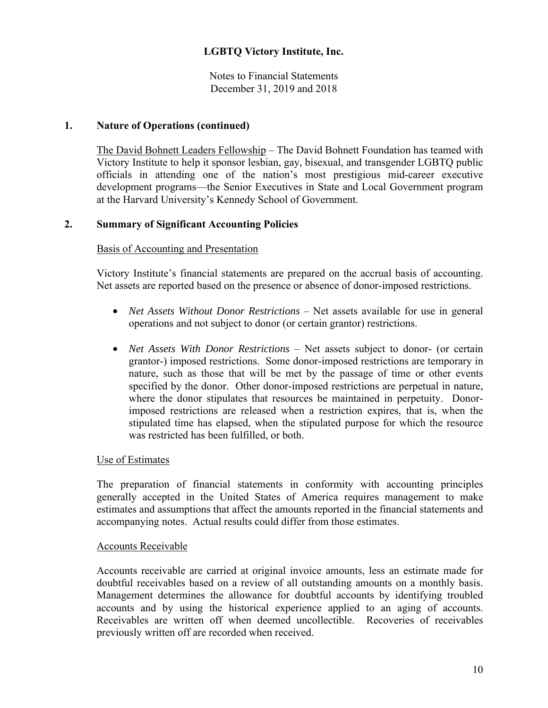Notes to Financial Statements December 31, 2019 and 2018

# **1. Nature of Operations (continued)**

The David Bohnett Leaders Fellowship – The David Bohnett Foundation has teamed with Victory Institute to help it sponsor lesbian, gay, bisexual, and transgender LGBTQ public officials in attending one of the nation's most prestigious mid-career executive development programs—the Senior Executives in State and Local Government program at the Harvard University's Kennedy School of Government.

# **2. Summary of Significant Accounting Policies**

# Basis of Accounting and Presentation

Victory Institute's financial statements are prepared on the accrual basis of accounting. Net assets are reported based on the presence or absence of donor-imposed restrictions.

- *Net Assets Without Donor Restrictions* Net assets available for use in general operations and not subject to donor (or certain grantor) restrictions.
- *Net Assets With Donor Restrictions*  Net assets subject to donor- (or certain grantor-) imposed restrictions. Some donor-imposed restrictions are temporary in nature, such as those that will be met by the passage of time or other events specified by the donor. Other donor-imposed restrictions are perpetual in nature, where the donor stipulates that resources be maintained in perpetuity. Donorimposed restrictions are released when a restriction expires, that is, when the stipulated time has elapsed, when the stipulated purpose for which the resource was restricted has been fulfilled, or both.

# Use of Estimates

The preparation of financial statements in conformity with accounting principles generally accepted in the United States of America requires management to make estimates and assumptions that affect the amounts reported in the financial statements and accompanying notes. Actual results could differ from those estimates.

# Accounts Receivable

Accounts receivable are carried at original invoice amounts, less an estimate made for doubtful receivables based on a review of all outstanding amounts on a monthly basis. Management determines the allowance for doubtful accounts by identifying troubled accounts and by using the historical experience applied to an aging of accounts. Receivables are written off when deemed uncollectible. Recoveries of receivables previously written off are recorded when received.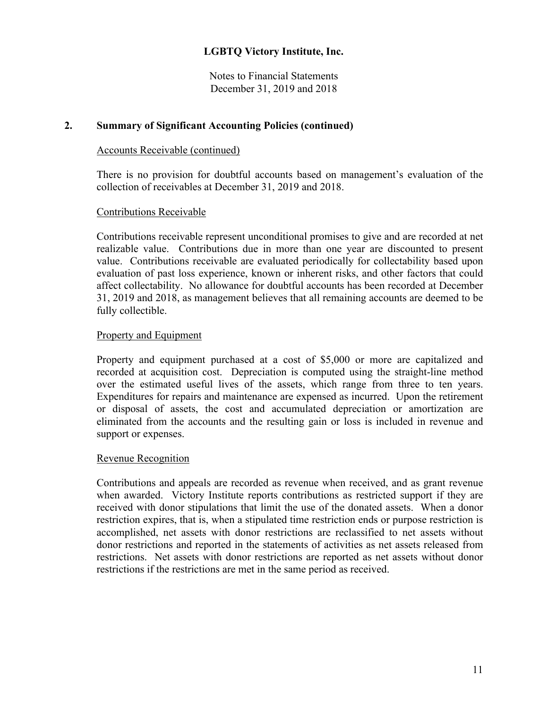Notes to Financial Statements December 31, 2019 and 2018

# **2. Summary of Significant Accounting Policies (continued)**

#### Accounts Receivable (continued)

There is no provision for doubtful accounts based on management's evaluation of the collection of receivables at December 31, 2019 and 2018.

#### Contributions Receivable

Contributions receivable represent unconditional promises to give and are recorded at net realizable value. Contributions due in more than one year are discounted to present value. Contributions receivable are evaluated periodically for collectability based upon evaluation of past loss experience, known or inherent risks, and other factors that could affect collectability. No allowance for doubtful accounts has been recorded at December 31, 2019 and 2018, as management believes that all remaining accounts are deemed to be fully collectible.

#### Property and Equipment

Property and equipment purchased at a cost of \$5,000 or more are capitalized and recorded at acquisition cost. Depreciation is computed using the straight-line method over the estimated useful lives of the assets, which range from three to ten years. Expenditures for repairs and maintenance are expensed as incurred. Upon the retirement or disposal of assets, the cost and accumulated depreciation or amortization are eliminated from the accounts and the resulting gain or loss is included in revenue and support or expenses.

#### Revenue Recognition

Contributions and appeals are recorded as revenue when received, and as grant revenue when awarded. Victory Institute reports contributions as restricted support if they are received with donor stipulations that limit the use of the donated assets. When a donor restriction expires, that is, when a stipulated time restriction ends or purpose restriction is accomplished, net assets with donor restrictions are reclassified to net assets without donor restrictions and reported in the statements of activities as net assets released from restrictions. Net assets with donor restrictions are reported as net assets without donor restrictions if the restrictions are met in the same period as received.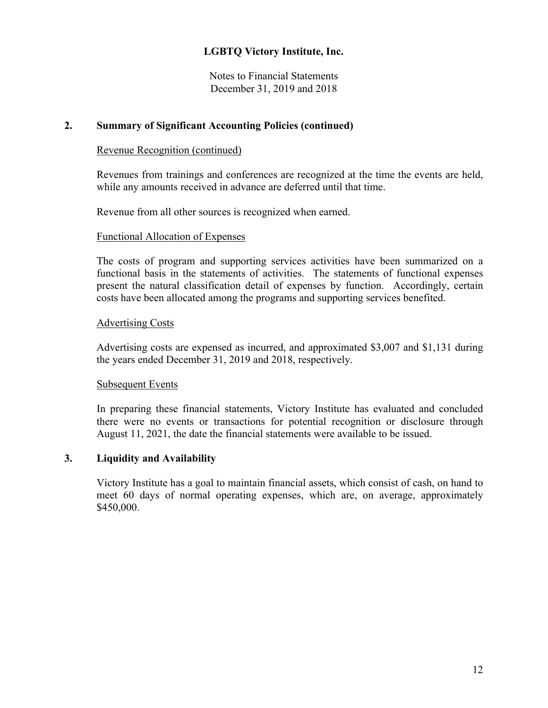Notes to Financial Statements December 31, 2019 and 2018

# **2. Summary of Significant Accounting Policies (continued)**

#### Revenue Recognition (continued)

Revenues from trainings and conferences are recognized at the time the events are held, while any amounts received in advance are deferred until that time.

Revenue from all other sources is recognized when earned.

#### Functional Allocation of Expenses

The costs of program and supporting services activities have been summarized on a functional basis in the statements of activities. The statements of functional expenses present the natural classification detail of expenses by function. Accordingly, certain costs have been allocated among the programs and supporting services benefited.

# Advertising Costs

Advertising costs are expensed as incurred, and approximated \$3,007 and \$1,131 during the years ended December 31, 2019 and 2018, respectively.

#### Subsequent Events

In preparing these financial statements, Victory Institute has evaluated and concluded there were no events or transactions for potential recognition or disclosure through August 11, 2021, the date the financial statements were available to be issued.

# **3. Liquidity and Availability**

Victory Institute has a goal to maintain financial assets, which consist of cash, on hand to meet 60 days of normal operating expenses, which are, on average, approximately \$450,000.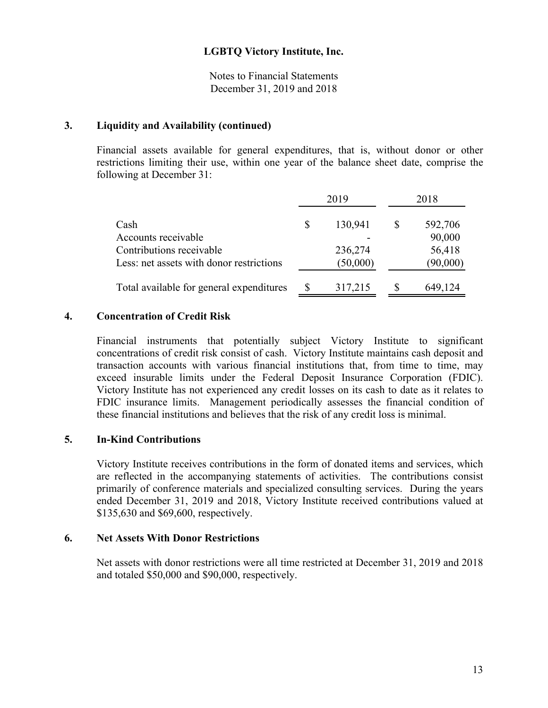Notes to Financial Statements December 31, 2019 and 2018

# **3. Liquidity and Availability (continued)**

Financial assets available for general expenditures, that is, without donor or other restrictions limiting their use, within one year of the balance sheet date, comprise the following at December 31:

|                                          | 2019     | 2018 |          |  |  |
|------------------------------------------|----------|------|----------|--|--|
| Cash                                     | 130,941  |      | 592,706  |  |  |
| Accounts receivable                      |          |      | 90,000   |  |  |
| Contributions receivable                 | 236,274  |      | 56,418   |  |  |
| Less: net assets with donor restrictions | (50,000) |      | (90,000) |  |  |
| Total available for general expenditures | 317,215  |      | 649,124  |  |  |

# **4. Concentration of Credit Risk**

Financial instruments that potentially subject Victory Institute to significant concentrations of credit risk consist of cash. Victory Institute maintains cash deposit and transaction accounts with various financial institutions that, from time to time, may exceed insurable limits under the Federal Deposit Insurance Corporation (FDIC). Victory Institute has not experienced any credit losses on its cash to date as it relates to FDIC insurance limits. Management periodically assesses the financial condition of these financial institutions and believes that the risk of any credit loss is minimal.

# **5. In-Kind Contributions**

Victory Institute receives contributions in the form of donated items and services, which are reflected in the accompanying statements of activities. The contributions consist primarily of conference materials and specialized consulting services. During the years ended December 31, 2019 and 2018, Victory Institute received contributions valued at \$135,630 and \$69,600, respectively.

# **6. Net Assets With Donor Restrictions**

Net assets with donor restrictions were all time restricted at December 31, 2019 and 2018 and totaled \$50,000 and \$90,000, respectively.